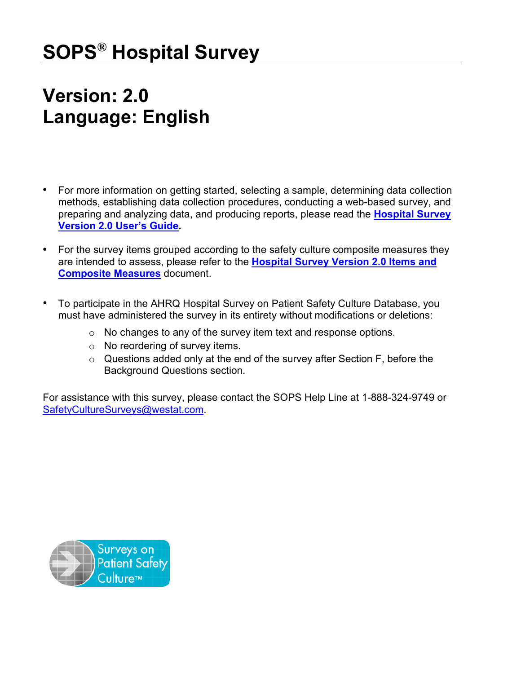# **SOPS® Hospital Survey**

## **Version: 2.0 Language: English**

- For more information on getting started, selecting a sample, determining data collection methods, establishing data collection procedures, conducting a web-based survey, and preparing and analyzing data, and producing reports, please read the **[Hospital](https://www.ahrq.gov/sites/default/files/wysiwyg/sops/surveys/hospital/hospitalsurvey2-users-guide.pdf) Survey [Version 2.0 User's Guide.](https://www.ahrq.gov/sites/default/files/wysiwyg/sops/surveys/hospital/hospitalsurvey2-users-guide.pdf)**
- For the survey items grouped according to the safety culture composite measures they are intended to assess, please refer to the **[Hospital Survey Version 2.0 Items and](https://www.ahrq.gov/sites/default/files/wysiwyg/sops/surveys/hospital/hospitalsurvey2-items.pdf)  [Composite](https://www.ahrq.gov/sites/default/files/wysiwyg/sops/surveys/hospital/hospitalsurvey2-items.pdf) Measures** document.
- To participate in the AHRQ Hospital Survey on Patient Safety Culture Database, you must have administered the survey in its entirety without modifications or deletions:
	- o No changes to any of the survey item text and response options.
	- o No reordering of survey items.
	- o Questions added only at the end of the survey after Section F, before the Background Questions section.

For assistance with this survey, please contact the SOPS Help Line at 1-888-324-9749 or [SafetyCultureSurveys@westat.com.](mailto:SafetyCultureSurveys@westat.com)

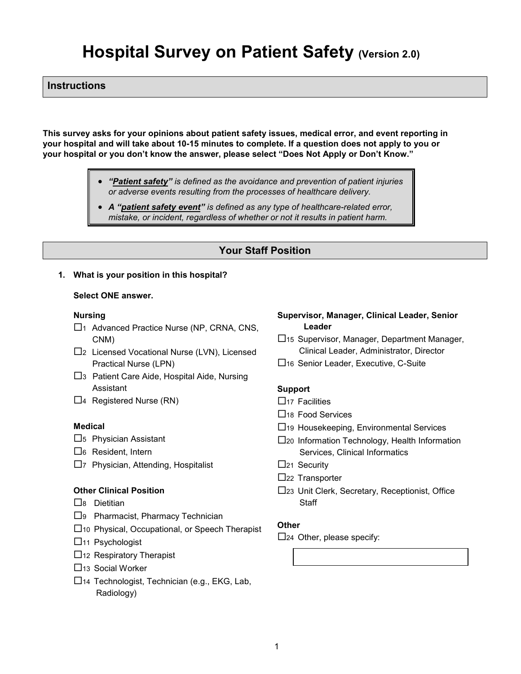## **Hospital Survey on Patient Safety (Version 2.0)**

## **Instructions**

**This survey asks for your opinions about patient safety issues, medical error, and event reporting in your hospital and will take about 10-15 minutes to complete. If a question does not apply to you or your hospital or you don't know the answer, please select "Does Not Apply or Don't Know."**

- *"Patient safety" is defined as the avoidance and prevention of patient injuries or adverse events resulting from the processes of healthcare delivery.*
- *A "patient safety event" is defined as any type of healthcare-related error, mistake, or incident, regardless of whether or not it results in patient harm.*

## **Your Staff Position**

#### **1. What is your position in this hospital?**

#### **Select ONE answer.**

#### **Nursing**

- □1 Advanced Practice Nurse (NP, CRNA, CNS, CNM)
- □2 Licensed Vocational Nurse (LVN), Licensed Practical Nurse (LPN)
- $\square$ 3 Patient Care Aide, Hospital Aide, Nursing Assistant
- $\Box$ 4 Registered Nurse (RN)

#### **Medical**

- $\square$ <sub>5</sub> Physician Assistant
- $\Box$ 6 Resident, Intern
- $\square$ 7 Physician, Attending, Hospitalist

#### **Other Clinical Position**

- $\square$ 8 Dietitian
- □9 Pharmacist, Pharmacy Technician
- 10 Physical, Occupational, or Speech Therapist
- $\Box$ 11 Psychologist
- $\Box$ 12 Respiratory Therapist
- $\Box$ <sub>13</sub> Social Worker
- 14 Technologist, Technician (e.g., EKG, Lab, Radiology)

#### **Supervisor, Manager, Clinical Leader, Senior Leader**

- 15 Supervisor, Manager, Department Manager, Clinical Leader, Administrator, Director
- □16 Senior Leader, Executive, C-Suite

#### **Support**

- $\Box$ 17 Facilities
- □18 Food Services
- $\Box$ 19 Housekeeping, Environmental Services
- 20 Information Technology, Health Information Services, Clinical Informatics
- $\square$ <sub>21</sub> Security
- $\Box$ 22 Transporter
- 23 Unit Clerk, Secretary, Receptionist, Office **Staff**

#### **Other**

 $\square$ 24 Other, please specify: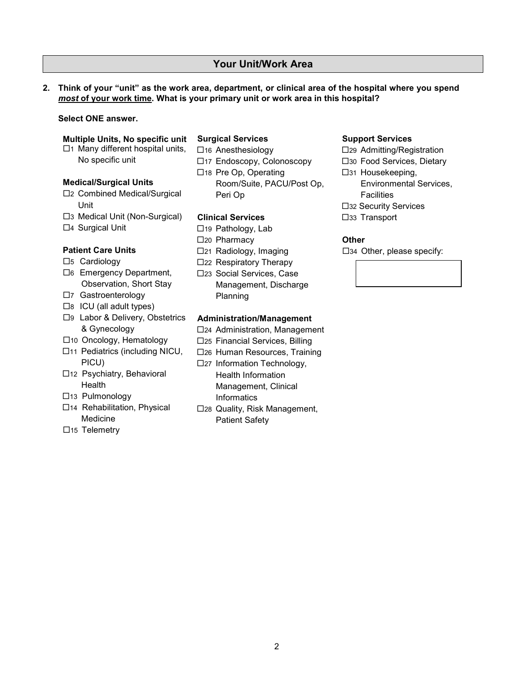## **Your Unit/Work Area**

**2. Think of your "unit" as the work area, department, or clinical area of the hospital where you spend**  *most* **of your work time. What is your primary unit or work area in this hospital?** 

#### **Select ONE answer.**

#### **Multiple Units, No specific unit**

 $\square$ 1 Many different hospital units, No specific unit

#### **Medical/Surgical Units**

- □2 Combined Medical/Surgical Unit
- 3 Medical Unit (Non-Surgical)
- □4 Surgical Unit

#### **Patient Care Units**

- $\square$ 5 Cardiology
- □6 Emergency Department, Observation, Short Stay
- □7 Gastroenterology
- $\square$ 8 ICU (all adult types)
- □9 Labor & Delivery, Obstetrics & Gynecology
- □10 Oncology, Hematology
- □11 Pediatrics (including NICU, PICU)
- □12 Psychiatry, Behavioral Health
- 13 Pulmonology
- 14 Rehabilitation, Physical Medicine
- □15 Telemetry

#### **Surgical Services**

- □16 Anesthesiology □17 Endoscopy, Colonoscopy
- □18 Pre Op, Operating Room/Suite, PACU/Post Op, Peri Op

#### **Clinical Services**

- □19 Pathology, Lab
- □20 Pharmacy
- 21 Radiology, Imaging
- □22 Respiratory Therapy
- □23 Social Services, Case Management, Discharge Planning

#### **Administration/Management**

- $\square$ 24 Administration, Management
- 25 Financial Services, Billing
- 26 Human Resources, Training
- □27 Information Technology, Health Information Management, Clinical **Informatics**
- □28 Quality, Risk Management, Patient Safety

#### **Support Services**

- 29 Admitting/Registration
- 30 Food Services, Dietary
- □31 Housekeeping, Environmental Services, **Facilities**
- □32 Security Services
- □33 Transport

#### **Other**

 $\square$ 34 Other, please specify:

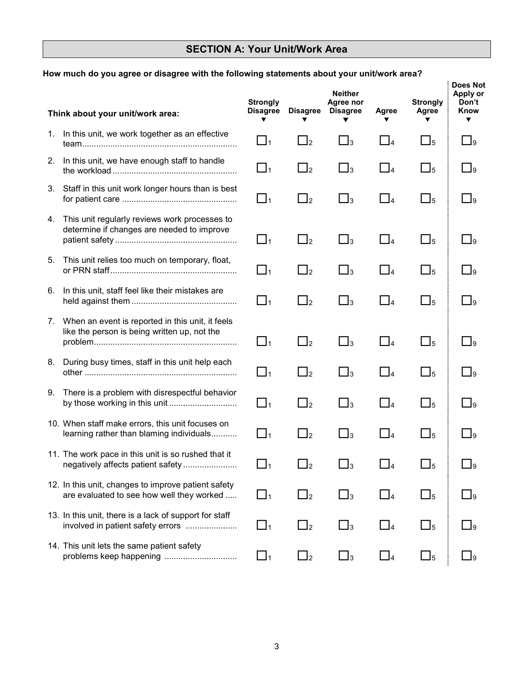## **SECTION A: Your Unit/Work Area**

## **How much do you agree or disagree with the following statements about your unit/work area?**

|    | Think about your unit/work area:                                                                 | <b>Strongly</b><br><b>Disagree</b> | <b>Disagree</b>     | <b>Neither</b><br>Agree nor<br><b>Disagree</b> | Agree<br>▼ | <b>Strongly</b><br>Agree<br>▼       | <b>Does Not</b><br>Apply or<br>Don't<br>Know<br>▼ |
|----|--------------------------------------------------------------------------------------------------|------------------------------------|---------------------|------------------------------------------------|------------|-------------------------------------|---------------------------------------------------|
|    | 1. In this unit, we work together as an effective                                                | $\Box_1$                           | $\Box_2$            | $\Box_3$                                       | $\Box_4$   | $\square_5$                         | $\Box$ <sub>9</sub>                               |
|    | 2. In this unit, we have enough staff to handle                                                  | $\Box_1$                           | $\Box_2$            | $\Box$ <sub>3</sub>                            | $\Box_4$   | $\Box$ <sub>5</sub>                 | $\Box$ <sub>9</sub>                               |
| 3. | Staff in this unit work longer hours than is best                                                | $\Box_1$                           | $\Box$ <sub>2</sub> | $\Box_3$                                       | $\Box_4$   | $\Box$ <sub>5</sub>                 | $\Box$ 9                                          |
| 4. | This unit regularly reviews work processes to<br>determine if changes are needed to improve      | $\Box_1$                           | $\Box_2$            | $\square_3$                                    | $\Box_4$   | $\Box$ <sub>5</sub>                 | $\Box$ 9                                          |
| 5. | This unit relies too much on temporary, float,                                                   | $\Box_1$                           | $\Box_2$            | $\Box_3$                                       | $\Box_4$   | $\Box$ <sub>5</sub>                 | $\Box$ 9                                          |
| 6. | In this unit, staff feel like their mistakes are                                                 | $\Box_1$                           | $\Box_2$            | $\square_3$                                    | $\Box_4$   | $\Box$ <sub>5</sub>                 | $\Box$ 9                                          |
| 7. | When an event is reported in this unit, it feels<br>like the person is being written up, not the | $\Box$ 1                           | $\Box$ 2            | $\square_3$                                    | $\Box$ 4   | $\square_5$                         | $\Box$ 9                                          |
|    | 8. During busy times, staff in this unit help each                                               | $\Box_1$                           | $\Box$ <sub>2</sub> | $\square_3$                                    | $\Box$ 4   | $\square_5$                         | $\Box$ 9                                          |
| 9. | There is a problem with disrespectful behavior<br>by those working in this unit                  | $\Box_1$                           | $\Box$ <sub>2</sub> | $\square_3$                                    | $\Box_4$   | $\square_5$                         | $\Box$ 9                                          |
|    | 10. When staff make errors, this unit focuses on<br>learning rather than blaming individuals     | $\Box_1$                           | $\Box_2$            | $\Box_3$                                       | $\Box_4$   | $\Box$ <sub>5</sub>                 | $\square$ <sub>9</sub>                            |
|    | 11. The work pace in this unit is so rushed that it<br>negatively affects patient safety         | ┙1                                 | $\Box_2$            | $\Box_3$                                       | 4          | $\mathsf{\underline{\mathsf{J}}}_5$ | $\bigsqcup$ 9                                     |
|    | 12. In this unit, changes to improve patient safety<br>are evaluated to see how well they worked | $\Box_1$                           | $\Box$ <sub>2</sub> | $\bigsqcup_3$                                  | $\Box_4$   | $\Box_5$                            | $\bigsqcup$ 9                                     |
|    | 13. In this unit, there is a lack of support for staff<br>involved in patient safety errors      | $\Box_1$                           | $\sqcup_2$          | $\Box_3$                                       | $\Box$ 4   | $\bigsqcup_5$                       | ∐9                                                |
|    | 14. This unit lets the same patient safety<br>problems keep happening                            | $\Box$ 1                           | $\sqcup_2$          | $\Box$ <sub>3</sub>                            | $\Box$ 4   | $\Box$                              | 9∟                                                |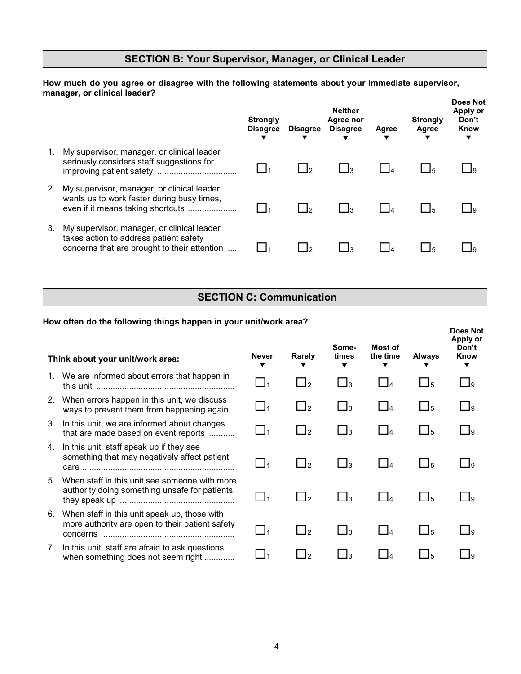## **SECTION B: Your Supervisor, Manager, or Clinical Leader**

**How much do you agree or disagree with the following statements about your immediate supervisor, manager, or clinical leader?** 

|    |                                                                                                                                      | <b>Strongly</b><br><b>Disagree</b> | <b>Disagree</b> | <b>Neither</b><br>Agree nor<br><b>Disagree</b> | Agree | <b>Strongly</b><br>Agree | Does Not<br>Apply or<br>Don't<br>Know |
|----|--------------------------------------------------------------------------------------------------------------------------------------|------------------------------------|-----------------|------------------------------------------------|-------|--------------------------|---------------------------------------|
| 1. | My supervisor, manager, or clinical leader<br>seriously considers staff suggestions for                                              |                                    |                 |                                                |       | - 15                     |                                       |
|    | My supervisor, manager, or clinical leader<br>wants us to work faster during busy times,<br>even if it means taking shortcuts        |                                    |                 |                                                |       | 15                       |                                       |
| 3. | My supervisor, manager, or clinical leader<br>takes action to address patient safety<br>concerns that are brought to their attention |                                    |                 |                                                |       | 15                       |                                       |

## **SECTION C: Communication**

#### **How often do the following things happen in your unit/work area? Think about your unit/work area: Never**  $\overline{\mathbf{v}}$ **Rarely**  $\overline{\mathbf{v}}$ **Sometimes**   $\blacktriangledown$ **Most of the time**  $\overline{\mathbf{v}}$ **Always**  $\overline{\mathbf{v}}$ **Does Not Apply or Don't Know**  $\overline{\mathbf{v}}$ 1. We are informed about errors that happen in this unit ........................................................... <sup>1</sup> <sup>2</sup> <sup>3</sup> <sup>4</sup> <sup>5</sup> <sup>9</sup> 2. When errors happen in this unit, we discuss when shere happen in the shift, we discusse<br>ways to prevent them from happening again ..  $\Box_1$   $\Box_2$   $\Box_3$   $\Box_4$   $\Box_5$   $\Box_9$ 3. In this unit, we are informed about changes that are made based on event reports ........... <sup>1</sup> <sup>2</sup> <sup>3</sup> <sup>4</sup> <sup>5</sup> <sup>9</sup> 4. In this unit, staff speak up if they see something that may negatively affect patient something that may negatively affect pattent  $\square_1$   $\square_2$   $\square_3$   $\square_4$   $\square_5$   $\square_9$ 5. When staff in this unit see someone with more authority doing something unsafe for patients, they speak up ................................................. <sup>1</sup> <sup>2</sup> <sup>3</sup> <sup>4</sup> <sup>5</sup> <sup>9</sup> 6. When staff in this unit speak up, those with more authority are open to their patient safety concerns ........................................................ <sup>1</sup> <sup>2</sup> <sup>3</sup> <sup>4</sup> <sup>5</sup> <sup>9</sup> 7. In this unit, staff are afraid to ask questions when something does not seem right ............. <sup>1</sup> <sup>2</sup> <sup>3</sup> <sup>4</sup> <sup>5</sup> <sup>9</sup>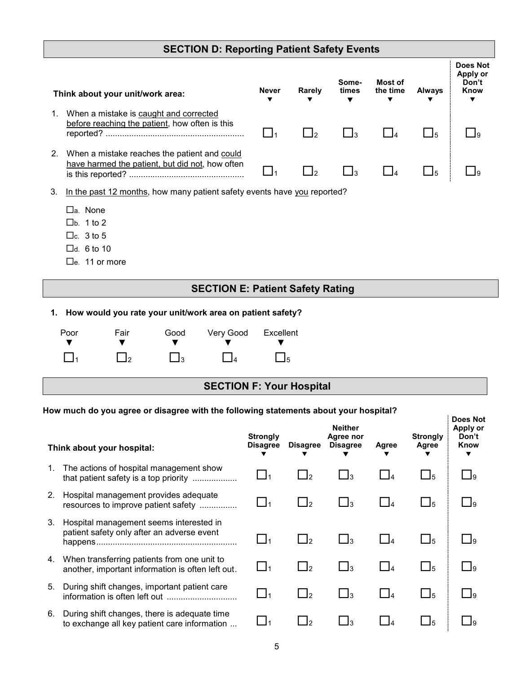## **SECTION D: Reporting Patient Safety Events**

| Think about your unit/work area: |                                                                                                 | <b>Never</b> | Rarely<br>▼ | Some-<br>times<br>▼ | Most of<br>the time<br>▼ | <b>Always</b> | <b>Does Not</b><br>Apply or<br>Don't<br>Know |
|----------------------------------|-------------------------------------------------------------------------------------------------|--------------|-------------|---------------------|--------------------------|---------------|----------------------------------------------|
| 1.                               | When a mistake is caught and corrected<br>before reaching the patient, how often is this        |              |             |                     |                          |               |                                              |
|                                  | When a mistake reaches the patient and could<br>have harmed the patient, but did not, how often |              |             |                     |                          |               |                                              |

3. In the past 12 months, how many patient safety events have you reported?

- a. None
- $\n **1** to 2\n$
- $\Box$ c. 3 to 5
- $\Box$ d. 6 to 10
- □e. 11 or more

## **SECTION E: Patient Safety Rating**

**1. How would you rate your unit/work area on patient safety?**

| Poor     | Fair                | Good        | Very Good Excellent |                     |
|----------|---------------------|-------------|---------------------|---------------------|
| $\Box$ 1 | $\Box$ <sub>2</sub> | $\prod_{3}$ | $\prod_4$           | $\Box$ <sub>5</sub> |

## **SECTION F: Your Hospital**

**Does Not** 

## **How much do you agree or disagree with the following statements about your hospital?**

|    | Think about your hospital:                                                                       | <b>Strongly</b><br><b>Disagree</b> | <b>Disagree</b> | <b>Neither</b><br>Agree nor<br><b>Disagree</b> | Agree  | <b>Strongly</b><br>Agree | Apply or<br>Don't<br>Know<br>▼ |
|----|--------------------------------------------------------------------------------------------------|------------------------------------|-----------------|------------------------------------------------|--------|--------------------------|--------------------------------|
| 1. | The actions of hospital management show<br>that patient safety is a top priority                 |                                    | $\frac{1}{2}$   | Jз                                             |        | J5                       |                                |
| 2. | Hospital management provides adequate<br>resources to improve patient safety                     |                                    | - 12            | Jз                                             | $\Box$ | 15                       |                                |
| 3. | Hospital management seems interested in<br>patient safety only after an adverse event            |                                    | $\Box$ 2        | -13                                            | $\Box$ | $\Box$ 5                 |                                |
| 4. | When transferring patients from one unit to<br>another, important information is often left out. |                                    | $\Box$          | Jз                                             | $\Box$ | $\Box$ 5                 |                                |
| 5. | During shift changes, important patient care                                                     |                                    | $\frac{1}{2}$   | Jз                                             |        | $\Box$ 5                 | $\mathbf{I}$ 9                 |
| 6. | During shift changes, there is adequate time<br>to exchange all key patient care information     |                                    |                 | Jз                                             |        | J5                       |                                |